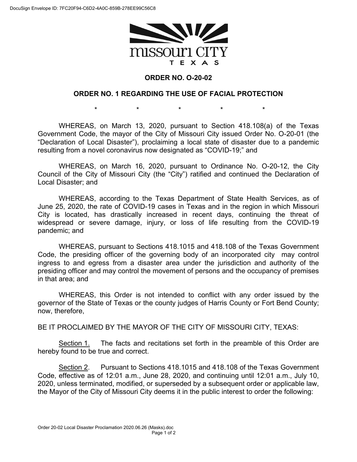

## **ORDER NO. O-20-02**

## **ORDER NO. 1 REGARDING THE USE OF FACIAL PROTECTION**

\* \* \* \* \* \* \*

WHEREAS, on March 13, 2020, pursuant to Section 418.108(a) of the Texas Government Code, the mayor of the City of Missouri City issued Order No. O-20-01 (the "Declaration of Local Disaster"), proclaiming a local state of disaster due to a pandemic resulting from a novel coronavirus now designated as "COVID-19;" and

WHEREAS, on March 16, 2020, pursuant to Ordinance No. O-20-12, the City Council of the City of Missouri City (the "City") ratified and continued the Declaration of Local Disaster; and

WHEREAS, according to the Texas Department of State Health Services, as of June 25, 2020, the rate of COVID-19 cases in Texas and in the region in which Missouri City is located, has drastically increased in recent days, continuing the threat of widespread or severe damage, injury, or loss of life resulting from the COVID-19 pandemic; and

WHEREAS, pursuant to Sections 418.1015 and 418.108 of the Texas Government Code, the presiding officer of the governing body of an incorporated city may control ingress to and egress from a disaster area under the jurisdiction and authority of the presiding officer and may control the movement of persons and the occupancy of premises in that area; and

WHEREAS, this Order is not intended to conflict with any order issued by the governor of the State of Texas or the county judges of Harris County or Fort Bend County; now, therefore,

BE IT PROCLAIMED BY THE MAYOR OF THE CITY OF MISSOURI CITY, TEXAS:

Section 1. The facts and recitations set forth in the preamble of this Order are hereby found to be true and correct.

Section 2. Pursuant to Sections 418.1015 and 418.108 of the Texas Government Code, effective as of 12:01 a.m., June 28, 2020, and continuing until 12:01 a.m., July 10, 2020, unless terminated, modified, or superseded by a subsequent order or applicable law, the Mayor of the City of Missouri City deems it in the public interest to order the following: